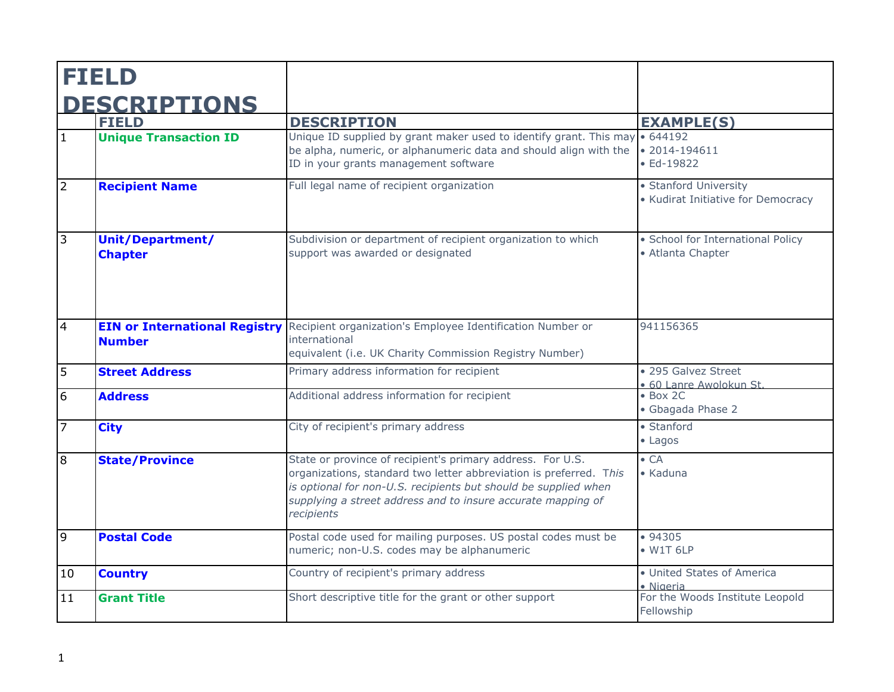|                | <b>FIELD</b>                                          |                                                                                                                                                                                                                                                                                   |                                                             |
|----------------|-------------------------------------------------------|-----------------------------------------------------------------------------------------------------------------------------------------------------------------------------------------------------------------------------------------------------------------------------------|-------------------------------------------------------------|
|                | <b>DESCRIPTIONS</b>                                   |                                                                                                                                                                                                                                                                                   |                                                             |
|                | <b>FIELD</b>                                          | <b>DESCRIPTION</b>                                                                                                                                                                                                                                                                | <b>EXAMPLE(S)</b>                                           |
| $\mathbf{1}$   | <b>Unique Transaction ID</b>                          | Unique ID supplied by grant maker used to identify grant. This may<br>be alpha, numeric, or alphanumeric data and should align with the<br>ID in your grants management software                                                                                                  | 644192<br>$\bullet$ 2014-194611<br>$\bullet$ Ed-19822       |
| $\overline{2}$ | <b>Recipient Name</b>                                 | Full legal name of recipient organization                                                                                                                                                                                                                                         | • Stanford University<br>• Kudirat Initiative for Democracy |
| $\overline{3}$ | Unit/Department/<br><b>Chapter</b>                    | Subdivision or department of recipient organization to which<br>support was awarded or designated                                                                                                                                                                                 | · School for International Policy<br>• Atlanta Chapter      |
| $\overline{4}$ | <b>EIN or International Registry</b><br><b>Number</b> | Recipient organization's Employee Identification Number or<br>international<br>equivalent (i.e. UK Charity Commission Registry Number)                                                                                                                                            | 941156365                                                   |
| 5              | <b>Street Address</b>                                 | Primary address information for recipient                                                                                                                                                                                                                                         | • 295 Galvez Street<br>· 60 Lanre Awolokun St.              |
| 6              | <b>Address</b>                                        | Additional address information for recipient                                                                                                                                                                                                                                      | $\bullet$ Box 2C<br>• Gbagada Phase 2                       |
| $\overline{7}$ | <b>City</b>                                           | City of recipient's primary address                                                                                                                                                                                                                                               | • Stanford<br>$\bullet$ Lagos                               |
| $\overline{8}$ | <b>State/Province</b>                                 | State or province of recipient's primary address. For U.S.<br>organizations, standard two letter abbreviation is preferred. This<br>is optional for non-U.S. recipients but should be supplied when<br>supplying a street address and to insure accurate mapping of<br>recipients | $\bullet$ CA<br>• Kaduna                                    |
| $\overline{9}$ | <b>Postal Code</b>                                    | Postal code used for mailing purposes. US postal codes must be<br>numeric; non-U.S. codes may be alphanumeric                                                                                                                                                                     | •94305<br>$\bullet$ W1T 6LP                                 |
| 10             | <b>Country</b>                                        | Country of recipient's primary address                                                                                                                                                                                                                                            | • United States of America<br>· Nigeria                     |
| 11             | <b>Grant Title</b>                                    | Short descriptive title for the grant or other support                                                                                                                                                                                                                            | For the Woods Institute Leopold<br>Fellowship               |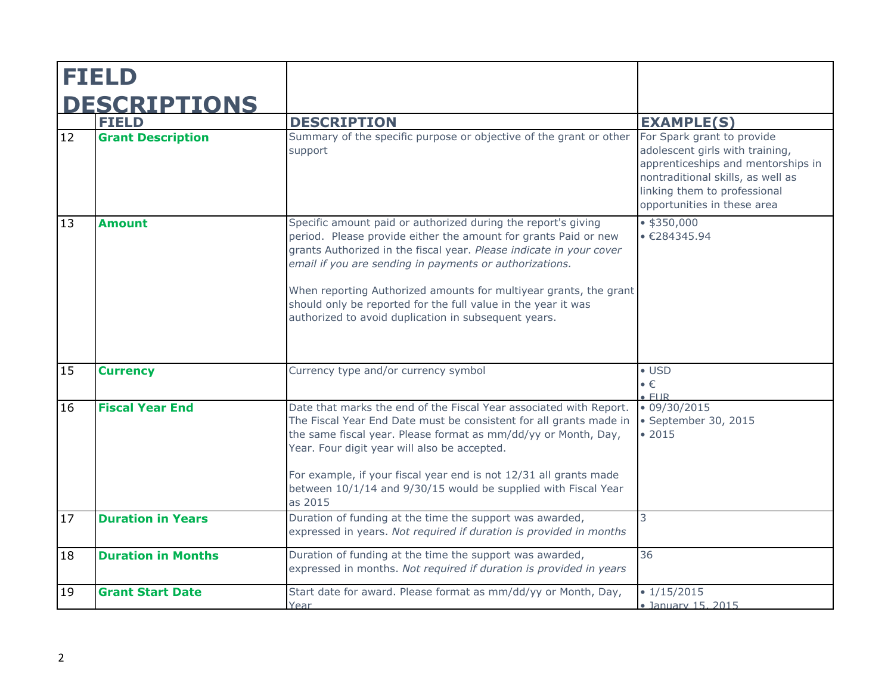| <b>FIELD</b>        |                           |                                                                                                                                                                                                                                                                                                                                                                                                                                                                  |                                                                                                                                                                                                         |
|---------------------|---------------------------|------------------------------------------------------------------------------------------------------------------------------------------------------------------------------------------------------------------------------------------------------------------------------------------------------------------------------------------------------------------------------------------------------------------------------------------------------------------|---------------------------------------------------------------------------------------------------------------------------------------------------------------------------------------------------------|
| <b>DESCRIPTIONS</b> |                           |                                                                                                                                                                                                                                                                                                                                                                                                                                                                  |                                                                                                                                                                                                         |
|                     | <b>FIELD</b>              | <b>DESCRIPTION</b>                                                                                                                                                                                                                                                                                                                                                                                                                                               | <b>EXAMPLE(S)</b>                                                                                                                                                                                       |
| 12                  | <b>Grant Description</b>  | Summary of the specific purpose or objective of the grant or other<br>support                                                                                                                                                                                                                                                                                                                                                                                    | For Spark grant to provide<br>adolescent girls with training,<br>apprenticeships and mentorships in<br>nontraditional skills, as well as<br>linking them to professional<br>opportunities in these area |
| 13                  | <b>Amount</b>             | Specific amount paid or authorized during the report's giving<br>period. Please provide either the amount for grants Paid or new<br>grants Authorized in the fiscal year. Please indicate in your cover<br>email if you are sending in payments or authorizations.<br>When reporting Authorized amounts for multiyear grants, the grant<br>should only be reported for the full value in the year it was<br>authorized to avoid duplication in subsequent years. | $•$ \$350,000<br>• E284345.94                                                                                                                                                                           |
| 15                  | <b>Currency</b>           | Currency type and/or currency symbol                                                                                                                                                                                                                                                                                                                                                                                                                             | $\bullet$ USD<br>$\bullet \in$<br>F1IR                                                                                                                                                                  |
| 16                  | <b>Fiscal Year End</b>    | Date that marks the end of the Fiscal Year associated with Report.<br>The Fiscal Year End Date must be consistent for all grants made in<br>the same fiscal year. Please format as mm/dd/yy or Month, Day,<br>Year. Four digit year will also be accepted.<br>For example, if your fiscal year end is not 12/31 all grants made<br>between 10/1/14 and 9/30/15 would be supplied with Fiscal Year<br>as 2015                                                     | $\cdot$ 09/30/2015<br>· September 30, 2015<br>• 2015                                                                                                                                                    |
| 17                  | <b>Duration in Years</b>  | Duration of funding at the time the support was awarded,<br>expressed in years. Not required if duration is provided in months                                                                                                                                                                                                                                                                                                                                   | 3                                                                                                                                                                                                       |
| 18                  | <b>Duration in Months</b> | Duration of funding at the time the support was awarded,<br>expressed in months. Not required if duration is provided in years                                                                                                                                                                                                                                                                                                                                   | 36                                                                                                                                                                                                      |
| 19                  | <b>Grant Start Date</b>   | Start date for award. Please format as mm/dd/yy or Month, Day,<br>Year                                                                                                                                                                                                                                                                                                                                                                                           | $\overline{\bullet}$ 1/15/2015<br>· January 15, 2015                                                                                                                                                    |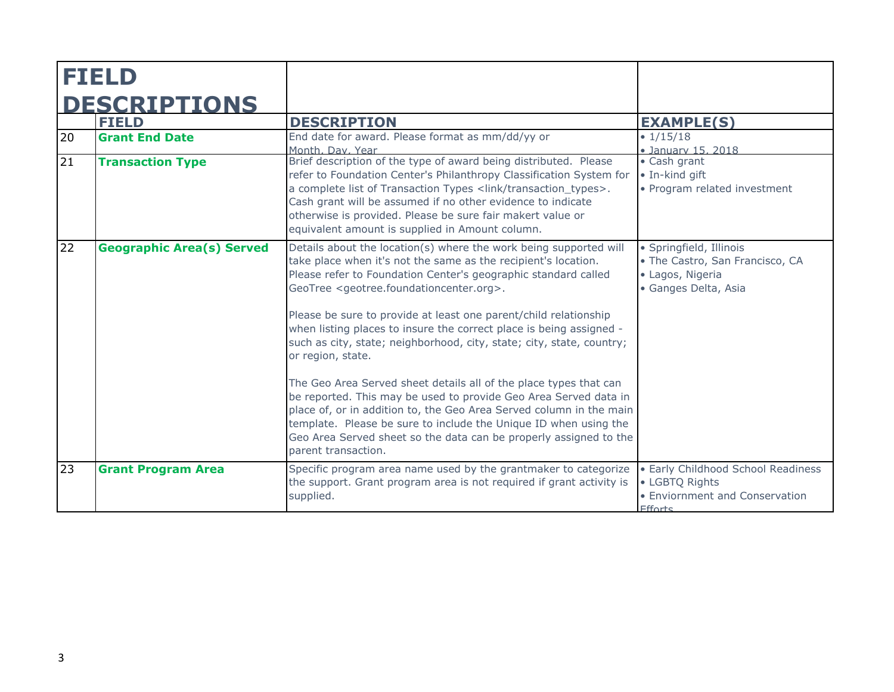| <b>FIELD</b>        |                                  |                                                                                                                                                                                                                                                                                                                                                                                                                                                                                                                                                                                                                                                                                                                                                                                                                                                                                                                    |                                                                                                        |
|---------------------|----------------------------------|--------------------------------------------------------------------------------------------------------------------------------------------------------------------------------------------------------------------------------------------------------------------------------------------------------------------------------------------------------------------------------------------------------------------------------------------------------------------------------------------------------------------------------------------------------------------------------------------------------------------------------------------------------------------------------------------------------------------------------------------------------------------------------------------------------------------------------------------------------------------------------------------------------------------|--------------------------------------------------------------------------------------------------------|
| <b>DESCRIPTIONS</b> |                                  |                                                                                                                                                                                                                                                                                                                                                                                                                                                                                                                                                                                                                                                                                                                                                                                                                                                                                                                    |                                                                                                        |
|                     | <b>FIELD</b>                     | <b>DESCRIPTION</b>                                                                                                                                                                                                                                                                                                                                                                                                                                                                                                                                                                                                                                                                                                                                                                                                                                                                                                 | <b>EXAMPLE(S)</b>                                                                                      |
| 20                  | <b>Grant End Date</b>            | End date for award. Please format as mm/dd/yy or<br>Month, Day, Year                                                                                                                                                                                                                                                                                                                                                                                                                                                                                                                                                                                                                                                                                                                                                                                                                                               | $\cdot$ 1/15/18<br>· January 15, 2018                                                                  |
| 21                  | <b>Transaction Type</b>          | Brief description of the type of award being distributed. Please<br>refer to Foundation Center's Philanthropy Classification System for<br>a complete list of Transaction Types <link transaction_types=""/> .<br>Cash grant will be assumed if no other evidence to indicate<br>otherwise is provided. Please be sure fair makert value or<br>equivalent amount is supplied in Amount column.                                                                                                                                                                                                                                                                                                                                                                                                                                                                                                                     | • Cash grant<br>· In-kind gift<br>· Program related investment                                         |
| 22                  | <b>Geographic Area(s) Served</b> | Details about the location(s) where the work being supported will<br>take place when it's not the same as the recipient's location.<br>Please refer to Foundation Center's geographic standard called<br>GeoTree <geotree.foundationcenter.org>.<br/>Please be sure to provide at least one parent/child relationship<br/>when listing places to insure the correct place is being assigned -<br/>such as city, state; neighborhood, city, state; city, state, country;<br/>or region, state.<br/>The Geo Area Served sheet details all of the place types that can<br/>be reported. This may be used to provide Geo Area Served data in<br/>place of, or in addition to, the Geo Area Served column in the main<br/>template. Please be sure to include the Unique ID when using the<br/>Geo Area Served sheet so the data can be properly assigned to the<br/>parent transaction.</geotree.foundationcenter.org> | · Springfield, Illinois<br>• The Castro, San Francisco, CA<br>· Lagos, Nigeria<br>· Ganges Delta, Asia |
| 23                  | <b>Grant Program Area</b>        | Specific program area name used by the grantmaker to categorize<br>the support. Grant program area is not required if grant activity is<br>supplied.                                                                                                                                                                                                                                                                                                                                                                                                                                                                                                                                                                                                                                                                                                                                                               | · Early Childhood School Readiness<br>• LGBTQ Rights<br>• Enviornment and Conservation<br>Ffforts      |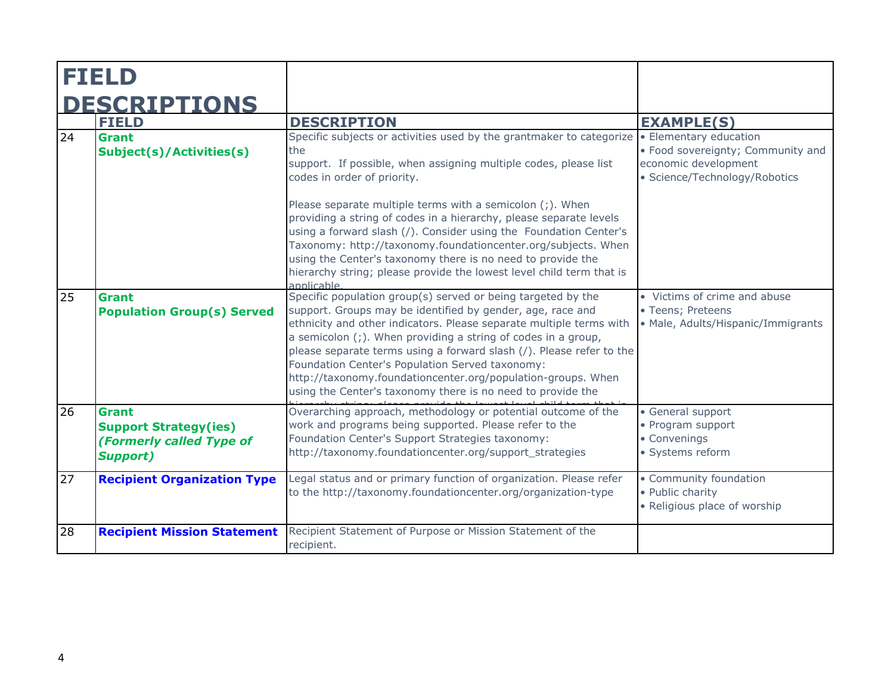|    | <b>DESCRIPTIONS</b><br><b>FIELD</b>                                                         | <b>DESCRIPTION</b>                                                                                                                                                                                                                                                                                                                                                                                                                                                                                                           | <b>EXAMPLE(S)</b>                                                                          |
|----|---------------------------------------------------------------------------------------------|------------------------------------------------------------------------------------------------------------------------------------------------------------------------------------------------------------------------------------------------------------------------------------------------------------------------------------------------------------------------------------------------------------------------------------------------------------------------------------------------------------------------------|--------------------------------------------------------------------------------------------|
| 24 | Grant<br>Subject(s)/Activities(s)                                                           | Specific subjects or activities used by the grantmaker to categorize $\cdot \cdot$ Elementary education<br>the<br>support. If possible, when assigning multiple codes, please list<br>codes in order of priority.<br>Please separate multiple terms with a semicolon (;). When                                                                                                                                                                                                                                               | • Food sovereignty; Community and<br>economic development<br>· Science/Technology/Robotics |
|    |                                                                                             | providing a string of codes in a hierarchy, please separate levels<br>using a forward slash (/). Consider using the Foundation Center's<br>Taxonomy: http://taxonomy.foundationcenter.org/subjects. When<br>using the Center's taxonomy there is no need to provide the<br>hierarchy string; please provide the lowest level child term that is<br>applicable                                                                                                                                                                |                                                                                            |
| 25 | <b>Grant</b><br><b>Population Group(s) Served</b>                                           | Specific population group(s) served or being targeted by the<br>support. Groups may be identified by gender, age, race and<br>ethnicity and other indicators. Please separate multiple terms with<br>a semicolon (;). When providing a string of codes in a group,<br>please separate terms using a forward slash (/). Please refer to the<br>Foundation Center's Population Served taxonomy:<br>http://taxonomy.foundationcenter.org/population-groups. When<br>using the Center's taxonomy there is no need to provide the | • Victims of crime and abuse<br>• Teens; Preteens<br>• Male, Adults/Hispanic/Immigrants    |
| 26 | <b>Grant</b><br><b>Support Strategy(ies)</b><br>(Formerly called Type of<br><b>Support)</b> | Overarching approach, methodology or potential outcome of the<br>work and programs being supported. Please refer to the<br>Foundation Center's Support Strategies taxonomy:<br>http://taxonomy.foundationcenter.org/support_strategies                                                                                                                                                                                                                                                                                       | • General support<br>• Program support<br>• Convenings<br>· Systems reform                 |
| 27 | <b>Recipient Organization Type</b>                                                          | Legal status and or primary function of organization. Please refer<br>to the http://taxonomy.foundationcenter.org/organization-type                                                                                                                                                                                                                                                                                                                                                                                          | • Community foundation<br>• Public charity<br>• Religious place of worship                 |
| 28 | <b>Recipient Mission Statement</b>                                                          | Recipient Statement of Purpose or Mission Statement of the<br>recipient.                                                                                                                                                                                                                                                                                                                                                                                                                                                     |                                                                                            |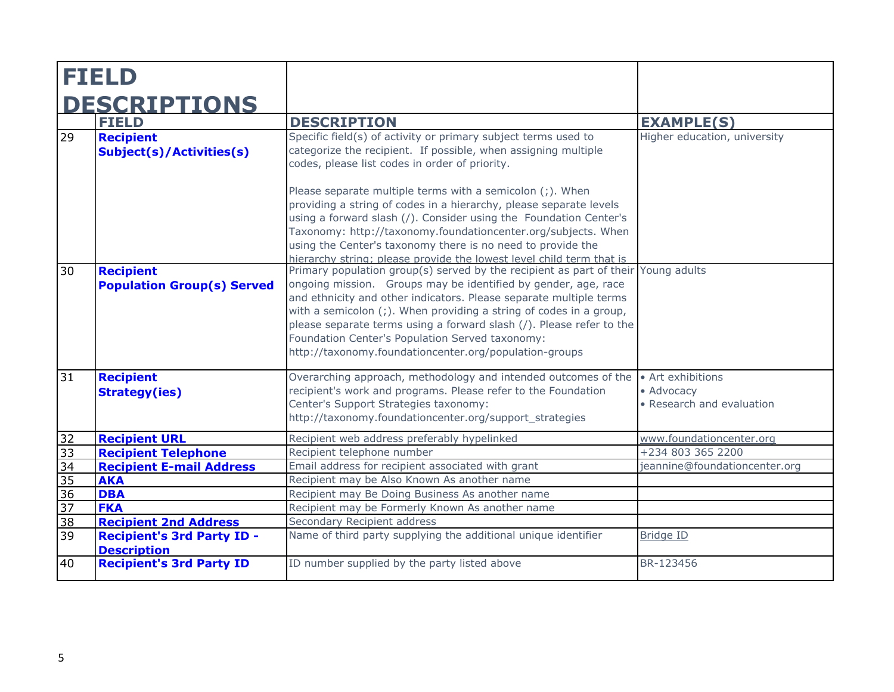|                       | <b>FIELD</b>                                                                            |                                                                                                                                                                                                                                                                                                                                                                                                                                                                                             |                                                              |
|-----------------------|-----------------------------------------------------------------------------------------|---------------------------------------------------------------------------------------------------------------------------------------------------------------------------------------------------------------------------------------------------------------------------------------------------------------------------------------------------------------------------------------------------------------------------------------------------------------------------------------------|--------------------------------------------------------------|
|                       | <b>DESCRIPTIONS</b>                                                                     |                                                                                                                                                                                                                                                                                                                                                                                                                                                                                             |                                                              |
|                       | <b>FIELD</b>                                                                            | <b>DESCRIPTION</b>                                                                                                                                                                                                                                                                                                                                                                                                                                                                          | <b>EXAMPLE(S)</b>                                            |
| 29                    | <b>Recipient</b><br><b>Subject(s)/Activities(s)</b>                                     | Specific field(s) of activity or primary subject terms used to<br>categorize the recipient. If possible, when assigning multiple<br>codes, please list codes in order of priority.                                                                                                                                                                                                                                                                                                          | Higher education, university                                 |
|                       |                                                                                         | Please separate multiple terms with a semicolon (;). When<br>providing a string of codes in a hierarchy, please separate levels<br>using a forward slash (/). Consider using the Foundation Center's<br>Taxonomy: http://taxonomy.foundationcenter.org/subjects. When<br>using the Center's taxonomy there is no need to provide the<br>hierarchy string; please provide the lowest level child term that is                                                                                |                                                              |
| 30                    | <b>Recipient</b><br><b>Population Group(s) Served</b>                                   | Primary population group(s) served by the recipient as part of their Young adults<br>ongoing mission. Groups may be identified by gender, age, race<br>and ethnicity and other indicators. Please separate multiple terms<br>with a semicolon $($ ; $)$ . When providing a string of codes in a group,<br>please separate terms using a forward slash (/). Please refer to the<br>Foundation Center's Population Served taxonomy:<br>http://taxonomy.foundationcenter.org/population-groups |                                                              |
| 31                    | <b>Recipient</b><br><b>Strategy(ies)</b>                                                | Overarching approach, methodology and intended outcomes of the<br>recipient's work and programs. Please refer to the Foundation<br>Center's Support Strategies taxonomy:<br>http://taxonomy.foundationcenter.org/support strategies                                                                                                                                                                                                                                                         | • Art exhibitions<br>• Advocacy<br>• Research and evaluation |
| 32                    | <b>Recipient URL</b>                                                                    | Recipient web address preferably hypelinked                                                                                                                                                                                                                                                                                                                                                                                                                                                 | www.foundationcenter.org                                     |
| $\overline{33}$       | <b>Recipient Telephone</b>                                                              | Recipient telephone number                                                                                                                                                                                                                                                                                                                                                                                                                                                                  | +234 803 365 2200                                            |
| $\overline{34}$       | <b>Recipient E-mail Address</b>                                                         | Email address for recipient associated with grant                                                                                                                                                                                                                                                                                                                                                                                                                                           | jeannine@foundationcenter.org                                |
| $\overline{35}$       | <b>AKA</b>                                                                              | Recipient may be Also Known As another name                                                                                                                                                                                                                                                                                                                                                                                                                                                 |                                                              |
| $\overline{36}$       | <b>DBA</b>                                                                              | Recipient may Be Doing Business As another name                                                                                                                                                                                                                                                                                                                                                                                                                                             |                                                              |
| 37                    | <b>FKA</b>                                                                              | Recipient may be Formerly Known As another name                                                                                                                                                                                                                                                                                                                                                                                                                                             |                                                              |
| $\overline{38}$<br>39 | <b>Recipient 2nd Address</b><br><b>Recipient's 3rd Party ID -</b><br><b>Description</b> | Secondary Recipient address<br>Name of third party supplying the additional unique identifier                                                                                                                                                                                                                                                                                                                                                                                               | Bridge ID                                                    |
| 40                    | <b>Recipient's 3rd Party ID</b>                                                         | ID number supplied by the party listed above                                                                                                                                                                                                                                                                                                                                                                                                                                                | BR-123456                                                    |